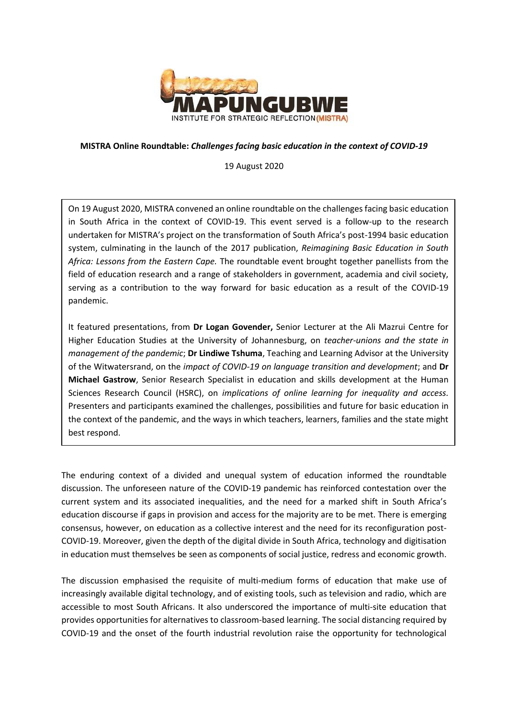

## **MISTRA Online Roundtable:** *Challenges facing basic education in the context of COVID-19*

19 August 2020

On 19 August 2020, MISTRA convened an online roundtable on the challenges facing basic education in South Africa in the context of COVID-19. This event served is a follow-up to the research undertaken for MISTRA's project on the transformation of South Africa's post-1994 basic education system, culminating in the launch of the 2017 publication, *Reimagining Basic Education in South Africa: Lessons from the Eastern Cape.* The roundtable event brought together panellists from the field of education research and a range of stakeholders in government, academia and civil society, serving as a contribution to the way forward for basic education as a result of the COVID-19 pandemic.

It featured presentations, from **Dr Logan Govender,** Senior Lecturer at the Ali Mazrui Centre for Higher Education Studies at the University of Johannesburg, on *teacher-unions and the state in management of the pandemic*; **Dr Lindiwe Tshuma**, Teaching and Learning Advisor at the University of the Witwatersrand, on the *impact of COVID-19 on language transition and development*; and **Dr Michael Gastrow**, Senior Research Specialist in education and skills development at the Human Sciences Research Council (HSRC), on *implications of online learning for inequality and access.* Presenters and participants examined the challenges, possibilities and future for basic education in the context of the pandemic, and the ways in which teachers, learners, families and the state might best respond.

The enduring context of a divided and unequal system of education informed the roundtable discussion. The unforeseen nature of the COVID-19 pandemic has reinforced contestation over the current system and its associated inequalities, and the need for a marked shift in South Africa's education discourse if gaps in provision and access for the majority are to be met. There is emerging consensus, however, on education as a collective interest and the need for its reconfiguration post-COVID-19. Moreover, given the depth of the digital divide in South Africa, technology and digitisation in education must themselves be seen as components of social justice, redress and economic growth.

The discussion emphasised the requisite of multi-medium forms of education that make use of increasingly available digital technology, and of existing tools, such as television and radio, which are accessible to most South Africans. It also underscored the importance of multi-site education that provides opportunities for alternatives to classroom-based learning. The social distancing required by COVID-19 and the onset of the fourth industrial revolution raise the opportunity for technological